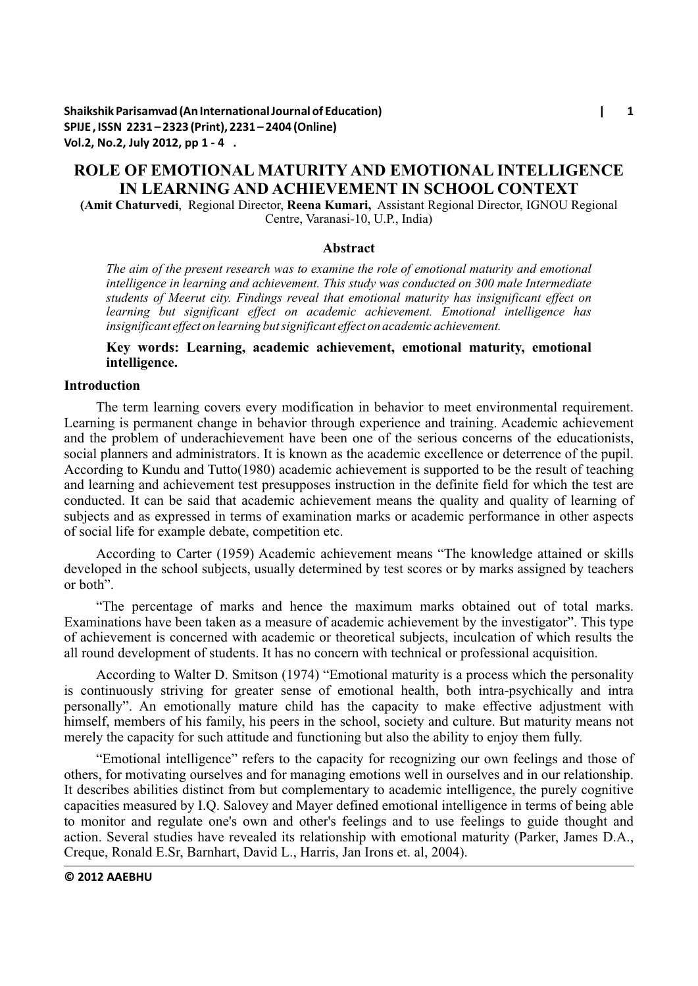**Shaikshik Parisamvad (An International Journal of Education) | 1 SPIJE , ISSN 2231 – 2323 (Print), 2231 – 2404 (Online) Vol.2, No.2, July 2012, pp 1 - 4 .**

# **ROLE OF EMOTIONAL MATURITY AND EMOTIONAL INTELLIGENCE IN LEARNING AND ACHIEVEMENT IN SCHOOL CONTEXT**

**(Amit Chaturvedi**, Regional Director, **Reena Kumari,** Assistant Regional Director, IGNOU Regional Centre, Varanasi-10, U.P., India)

#### **Abstract**

*The aim of the present research was to examine the role of emotional maturity and emotional intelligence in learning and achievement. This study was conducted on 300 male Intermediate students of Meerut city. Findings reveal that emotional maturity has insignificant effect on learning but significant effect on academic achievement. Emotional intelligence has insignificant effect on learning but significant effect on academic achievement.*

## **Key words: Learning, academic achievement, emotional maturity, emotional intelligence.**

#### **Introduction**

The term learning covers every modification in behavior to meet environmental requirement. Learning is permanent change in behavior through experience and training. Academic achievement and the problem of underachievement have been one of the serious concerns of the educationists, social planners and administrators. It is known as the academic excellence or deterrence of the pupil. According to Kundu and Tutto(1980) academic achievement is supported to be the result of teaching and learning and achievement test presupposes instruction in the definite field for which the test are conducted. It can be said that academic achievement means the quality and quality of learning of subjects and as expressed in terms of examination marks or academic performance in other aspects of social life for example debate, competition etc.

According to Carter (1959) Academic achievement means "The knowledge attained or skills developed in the school subjects, usually determined by test scores or by marks assigned by teachers or both".

"The percentage of marks and hence the maximum marks obtained out of total marks. Examinations have been taken as a measure of academic achievement by the investigator". This type of achievement is concerned with academic or theoretical subjects, inculcation of which results the all round development of students. It has no concern with technical or professional acquisition.

According to Walter D. Smitson (1974) "Emotional maturity is a process which the personality is continuously striving for greater sense of emotional health, both intra-psychically and intra personally". An emotionally mature child has the capacity to make effective adjustment with himself, members of his family, his peers in the school, society and culture. But maturity means not merely the capacity for such attitude and functioning but also the ability to enjoy them fully.

"Emotional intelligence" refers to the capacity for recognizing our own feelings and those of others, for motivating ourselves and for managing emotions well in ourselves and in our relationship. It describes abilities distinct from but complementary to academic intelligence, the purely cognitive capacities measured by I.Q. Salovey and Mayer defined emotional intelligence in terms of being able to monitor and regulate one's own and other's feelings and to use feelings to guide thought and action. Several studies have revealed its relationship with emotional maturity (Parker, James D.A., Creque, Ronald E.Sr, Barnhart, David L., Harris, Jan Irons et. al, 2004).

**© 2012 AAEBHU**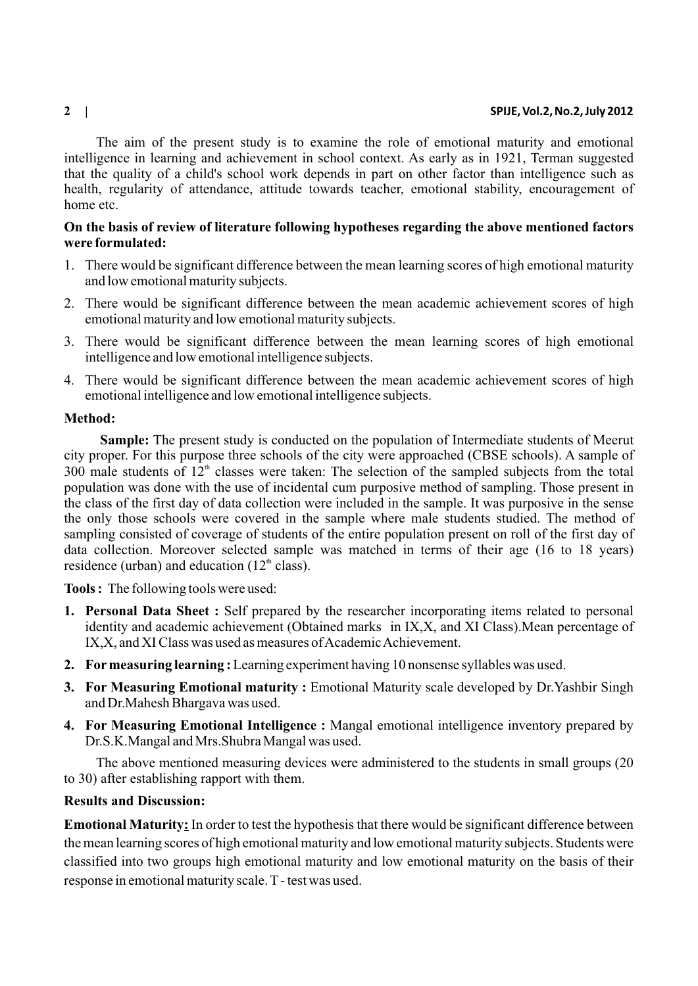#### **2 | SPIJE, Vol.2, No.2, July 2012**

The aim of the present study is to examine the role of emotional maturity and emotional intelligence in learning and achievement in school context. As early as in 1921, Terman suggested that the quality of a child's school work depends in part on other factor than intelligence such as health, regularity of attendance, attitude towards teacher, emotional stability, encouragement of home etc.

# **On the basis of review of literature following hypotheses regarding the above mentioned factors were formulated:**

- 1. There would be significant difference between the mean learning scores of high emotional maturity and low emotional maturity subjects.
- 2. There would be significant difference between the mean academic achievement scores of high emotional maturity and low emotional maturity subjects.
- 3. There would be significant difference between the mean learning scores of high emotional intelligence and low emotional intelligence subjects.
- 4. There would be significant difference between the mean academic achievement scores of high emotional intelligence and low emotional intelligence subjects.

## **Method:**

**Sample:** The present study is conducted on the population of Intermediate students of Meerut city proper. For this purpose three schools of the city were approached (CBSE schools). A sample of 300 male students of  $12<sup>th</sup>$  classes were taken: The selection of the sampled subjects from the total population was done with the use of incidental cum purposive method of sampling. Those present in the class of the first day of data collection were included in the sample. It was purposive in the sense the only those schools were covered in the sample where male students studied. The method of sampling consisted of coverage of students of the entire population present on roll of the first day of data collection. Moreover selected sample was matched in terms of their age (16 to 18 years) residence (urban) and education ( $12<sup>th</sup>$  class).

**Tools :** The following tools were used:

- **1. Personal Data Sheet :** Self prepared by the researcher incorporating items related to personal identity and academic achievement (Obtained marks in IX,X, and XI Class).Mean percentage of IX,X, and XI Class was used as measures of Academic Achievement.
- **2. Formeasuring learning :**Learning experiment having 10 nonsense syllables was used.
- **3. For Measuring Emotional maturity :** Emotional Maturity scale developed by Dr.Yashbir Singh and Dr.Mahesh Bhargava was used.
- **4. For Measuring Emotional Intelligence :** Mangal emotional intelligence inventory prepared by Dr.S.K.Mangal and Mrs.Shubra Mangal was used.

The above mentioned measuring devices were administered to the students in small groups (20 to 30) after establishing rapport with them.

# **Results and Discussion:**

**Emotional Maturity:** In order to test the hypothesis that there would be significant difference between the mean learning scores of high emotional maturity and low emotional maturity subjects. Students were classified into two groups high emotional maturity and low emotional maturity on the basis of their response in emotional maturity scale. T- test was used.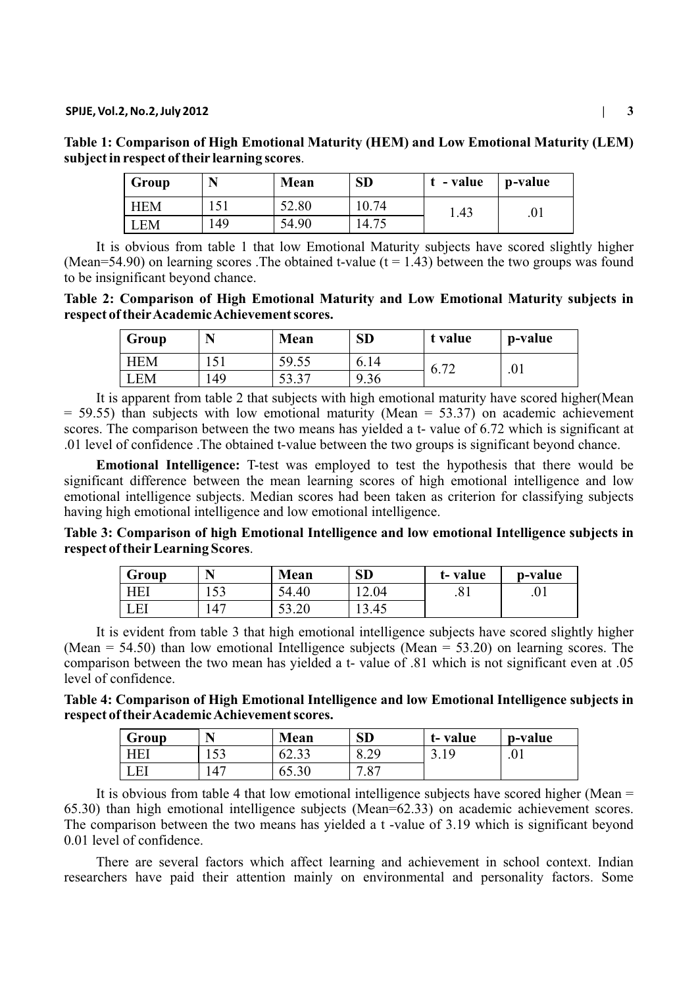| Table 1: Comparison of High Emotional Maturity (HEM) and Low Emotional Maturity (LEM) |          |  |             |  |              |  |  |  |  |
|---------------------------------------------------------------------------------------|----------|--|-------------|--|--------------|--|--|--|--|
| subject in respect of their learning scores.                                          |          |  |             |  |              |  |  |  |  |
|                                                                                       | $\Gamma$ |  | $M_{\odot}$ |  | raku ka raku |  |  |  |  |

| Group      |     | Mean  | <b>SD</b> | t - value | p-value |
|------------|-----|-------|-----------|-----------|---------|
| <b>HEM</b> |     | 52.80 | 10.74     | . 43      | .01     |
| LEM        | 149 | 54.90 | 14.75     |           |         |

It is obvious from table 1 that low Emotional Maturity subjects have scored slightly higher (Mean=54.90) on learning scores . The obtained t-value ( $t = 1.43$ ) between the two groups was found to be insignificant beyond chance.

**Table 2: Comparison of High Emotional Maturity and Low Emotional Maturity subjects in respect of theirAcademic Achievement scores.**

| Group | N     | Mean                       | <b>SD</b> | t value                  | p-value |
|-------|-------|----------------------------|-----------|--------------------------|---------|
| HEM   | 1 J 1 | 59.55                      | 6.14      | $\overline{\phantom{a}}$ | .01     |
| EM    | .49   | r 7<br>$\gamma$<br>، ر. زر | 9.36<br>a | $V \cdot L$              |         |

It is apparent from table 2 that subjects with high emotional maturity have scored higher(Mean  $= 59.55$ ) than subjects with low emotional maturity (Mean  $= 53.37$ ) on academic achievement scores. The comparison between the two means has yielded a t- value of 6.72 which is significant at .01 level of confidence .The obtained t-value between the two groups is significant beyond chance.

**Emotional Intelligence:** T-test was employed to test the hypothesis that there would be significant difference between the mean learning scores of high emotional intelligence and low emotional intelligence subjects. Median scores had been taken as criterion for classifying subjects having high emotional intelligence and low emotional intelligence.

**Table 3: Comparison of high Emotional Intelligence and low emotional Intelligence subjects in respect of theirLearning Scores**.

| Group |       | Mean        | <b>SD</b> | t-value             | p-value |
|-------|-------|-------------|-----------|---------------------|---------|
| HEI   | 1 J J | 54.40       | 12.04     | $\mathbf{O}$<br>.01 | .01     |
| LEI   | 47    | 50<br>53.20 | 13.45     |                     |         |

It is evident from table 3 that high emotional intelligence subjects have scored slightly higher (Mean =  $54.50$ ) than low emotional Intelligence subjects (Mean =  $53.20$ ) on learning scores. The comparison between the two mean has yielded a t- value of .81 which is not significant even at .05 level of confidence.

**Table 4: Comparison of High Emotional Intelligence and low Emotional Intelligence subjects in respect of theirAcademic Achievement scores.**

| Group | N   | Mean        | <b>SD</b>            | t-value | p-value |
|-------|-----|-------------|----------------------|---------|---------|
|       | r n | 02.33       | 0.47                 | ر د ب   | .v.     |
| - E 1 | .47 | c.<br>00.30 | $\circ$<br>$\cdot$ O |         |         |

It is obvious from table 4 that low emotional intelligence subjects have scored higher (Mean  $=$ 65.30) than high emotional intelligence subjects (Mean=62.33) on academic achievement scores. The comparison between the two means has yielded a t -value of 3.19 which is significant beyond 0.01 level of confidence.

There are several factors which affect learning and achievement in school context. Indian researchers have paid their attention mainly on environmental and personality factors. Some